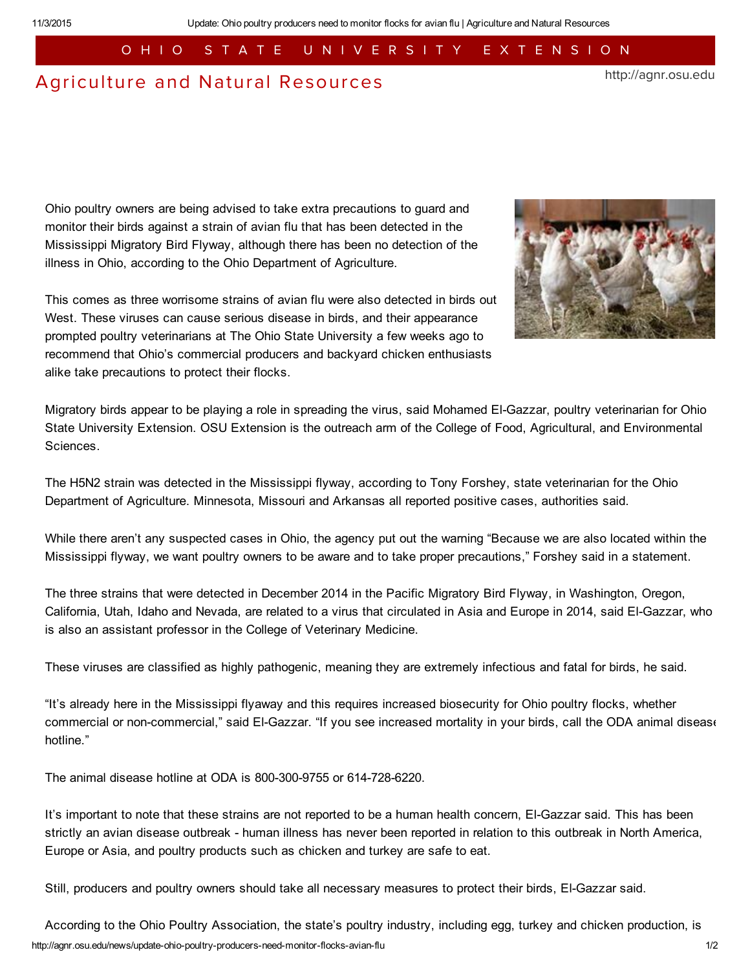## O H I O S T A T E U N I V E R S I T Y E X T E N S I O N

## [Agriculture](http://agnr.osu.edu/) and Natural Resources

http://agnr.osu.edu

Ohio poultry owners are being advised to take extra precautions to guard and monitor their birds against a strain of avian flu that has been detected in the Mississippi Migratory Bird Flyway, although there has been no detection of the illness in Ohio, according to the Ohio Department of Agriculture.



This comes as three worrisome strains of avian flu were also detected in birds out West. These viruses can cause serious disease in birds, and their appearance prompted poultry veterinarians at The Ohio State University a few weeks ago to recommend that Ohio's commercial producers and backyard chicken enthusiasts alike take precautions to protect their flocks.

Migratory birds appear to be playing a role in spreading the virus, said Mohamed El-Gazzar, poultry veterinarian for Ohio State University Extension. OSU Extension is the outreach arm of the College of Food, Agricultural, and Environmental Sciences.

The H5N2 strain was detected in the Mississippi flyway, according to Tony Forshey, state veterinarian for the Ohio Department of Agriculture. Minnesota, Missouri and Arkansas all reported positive cases, authorities said.

While there aren't any suspected cases in Ohio, the agency put out the warning "Because we are also located within the Mississippi flyway, we want poultry owners to be aware and to take proper precautions," Forshey said in a statement.

The three strains that were detected in December 2014 in the Pacific Migratory Bird Flyway, in Washington, Oregon, California, Utah, Idaho and Nevada, are related to a virus that circulated in Asia and Europe in 2014, said El-Gazzar, who is also an assistant professor in the College of Veterinary Medicine.

These viruses are classified as highly pathogenic, meaning they are extremely infectious and fatal for birds, he said.

"It's already here in the Mississippi flyaway and this requires increased biosecurity for Ohio poultry flocks, whether commercial or non-commercial," said El-Gazzar. "If you see increased mortality in your birds, call the ODA animal disease hotline."

The animal disease hotline at ODA is 800-300-9755 or 614-728-6220.

It's important to note that these strains are not reported to be a human health concern, El-Gazzar said. This has been strictly an avian disease outbreak - human illness has never been reported in relation to this outbreak in North America, Europe or Asia, and poultry products such as chicken and turkey are safe to eat.

Still, producers and poultry owners should take all necessary measures to protect their birds, ElGazzar said.

http://agnr.osu.edu/news/update-ohio-poultry-producers-need-monitor-flocks-avian-flu<br>1/2 According to the Ohio Poultry Association, the state's poultry industry, including egg, turkey and chicken production, is